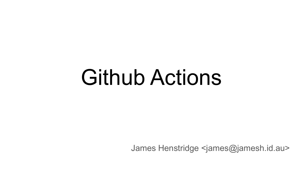# Github Actions

James Henstridge <james@jamesh.id.au>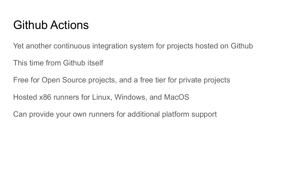#### Github Actions

Yet another continuous integration system for projects hosted on Github

This time from Github itself

Free for Open Source projects, and a free tier for private projects

Hosted x86 runners for Linux, Windows, and MacOS

Can provide your own runners for additional platform support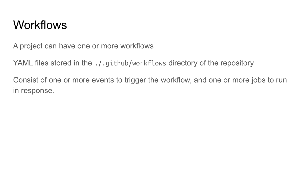## **Workflows**

A project can have one or more workflows

YAML files stored in the ./.github/workflows directory of the repository

Consist of one or more events to trigger the workflow, and one or more jobs to run in response.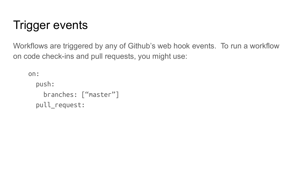# Trigger events

Workflows are triggered by any of Github's web hook events. To run a workflow on code check-ins and pull requests, you might use:

```
on:
push:
  branches: ["master"]
pull_request:
```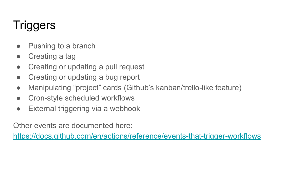# **Triggers**

- Pushing to a branch
- Creating a tag
- Creating or updating a pull request
- Creating or updating a bug report
- Manipulating "project" cards (Github's kanban/trello-like feature)
- Cron-style scheduled workflows
- External triggering via a webhook

Other events are documented here:

<https://docs.github.com/en/actions/reference/events-that-trigger-workflows>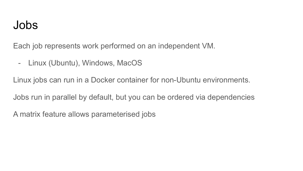#### Jobs

Each job represents work performed on an independent VM.

- Linux (Ubuntu), Windows, MacOS

Linux jobs can run in a Docker container for non-Ubuntu environments.

Jobs run in parallel by default, but you can be ordered via dependencies

A matrix feature allows parameterised jobs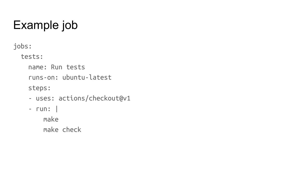# Example job

jobs:

tests:

name: Run tests

runs-on: ubuntu-latest

steps:

- uses: actions/checkout@v1

- run: |

make

make check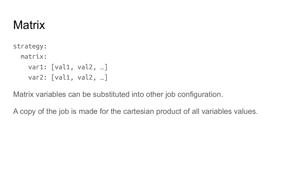#### **Matrix**

strategy: matrix: var1: [val1, val2, …] var2: [val1, val2, …]

Matrix variables can be substituted into other job configuration.

A copy of the job is made for the cartesian product of all variables values.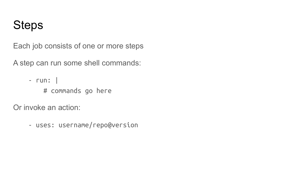## **Steps**

Each job consists of one or more steps

A step can run some shell commands:

- run: |
	- # commands go here

Or invoke an action:

- uses: username/repo@version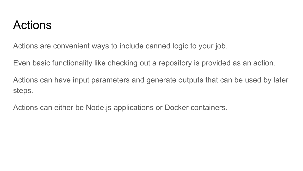#### Actions

Actions are convenient ways to include canned logic to your job.

Even basic functionality like checking out a repository is provided as an action.

Actions can have input parameters and generate outputs that can be used by later steps.

Actions can either be Node.js applications or Docker containers.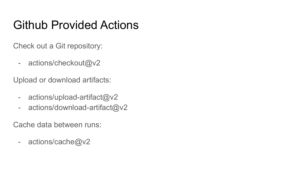## Github Provided Actions

Check out a Git repository:

- actions/checkout@v2

Upload or download artifacts:

- actions/upload-artifact@v2
- actions/download-artifact@v2

Cache data between runs:

- actions/cache@v2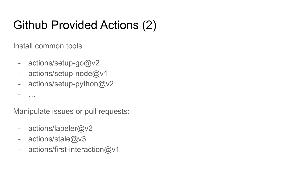# Github Provided Actions (2)

Install common tools:

- …

- actions/setup-go@v2
- actions/setup-node@v1
- actions/setup-python@v2

Manipulate issues or pull requests:

- actions/labeler@v2
- actions/stale@v3
- actions/first-interaction@v1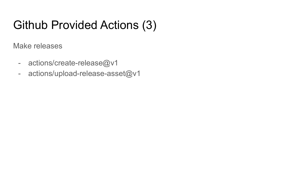# Github Provided Actions (3)

Make releases

- actions/create-release@v1
- actions/upload-release-asset@v1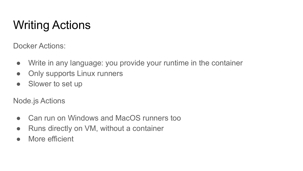# Writing Actions

Docker Actions:

- Write in any language: you provide your runtime in the container
- Only supports Linux runners
- Slower to set up

Node.js Actions

- Can run on Windows and MacOS runners too
- Runs directly on VM, without a container
- More efficient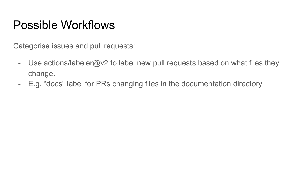## Possible Workflows

Categorise issues and pull requests:

- Use actions/labeler@v2 to label new pull requests based on what files they change.
- E.g. "docs" label for PRs changing files in the documentation directory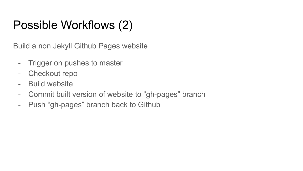# Possible Workflows (2)

Build a non Jekyll Github Pages website

- Trigger on pushes to master
- Checkout repo
- Build website
- Commit built version of website to "gh-pages" branch
- Push "gh-pages" branch back to Github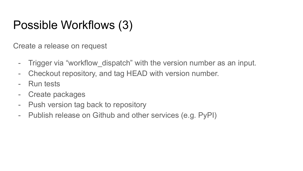# Possible Workflows (3)

Create a release on request

- Trigger via "workflow dispatch" with the version number as an input.
- Checkout repository, and tag HEAD with version number.
- Run tests
- Create packages
- Push version tag back to repository
- Publish release on Github and other services (e.g. PyPI)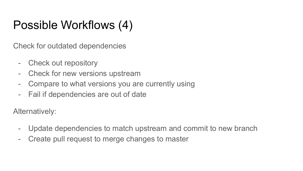# Possible Workflows (4)

Check for outdated dependencies

- Check out repository
- Check for new versions upstream
- Compare to what versions you are currently using
- Fail if dependencies are out of date

Alternatively:

- Update dependencies to match upstream and commit to new branch
- Create pull request to merge changes to master